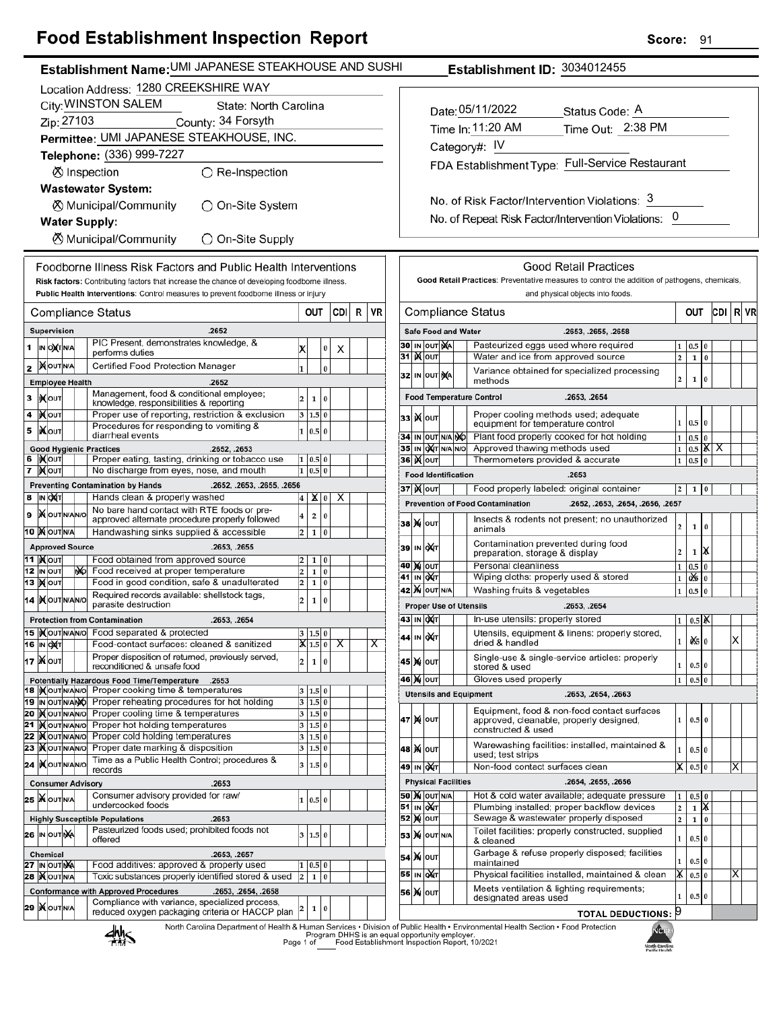## **Food Establishment Inspection Report**

|                                                                                                             | Establishment Name: UMI JAPANESE STEAKHOUSE AND SUSHI                                                           |                                             |             |          |  |                         |                                                      |                                    |                                |  |                            | Establishment ID: 3034012455                                                                                                               |  |  |
|-------------------------------------------------------------------------------------------------------------|-----------------------------------------------------------------------------------------------------------------|---------------------------------------------|-------------|----------|--|-------------------------|------------------------------------------------------|------------------------------------|--------------------------------|--|----------------------------|--------------------------------------------------------------------------------------------------------------------------------------------|--|--|
|                                                                                                             | Location Address: 1280 CREEKSHIRE WAY                                                                           |                                             |             |          |  |                         |                                                      |                                    |                                |  |                            |                                                                                                                                            |  |  |
| City: WINSTON SALEM<br>State: North Carolina                                                                |                                                                                                                 |                                             |             |          |  |                         |                                                      |                                    |                                |  |                            |                                                                                                                                            |  |  |
| Zip: 27103<br>County: 34 Forsyth                                                                            |                                                                                                                 |                                             |             |          |  |                         |                                                      | Date: 05/11/2022<br>Status Code: A |                                |  |                            |                                                                                                                                            |  |  |
| Permittee: UMI JAPANESE STEAKHOUSE, INC.                                                                    |                                                                                                                 |                                             |             |          |  |                         | Time In: 11:20 AM<br>Time Out: 2:38 PM               |                                    |                                |  |                            |                                                                                                                                            |  |  |
| Telephone: (336) 999-7227                                                                                   |                                                                                                                 |                                             |             |          |  |                         | Category#: IV                                        |                                    |                                |  |                            |                                                                                                                                            |  |  |
|                                                                                                             |                                                                                                                 |                                             |             |          |  |                         | FDA Establishment Type: Full-Service Restaurant      |                                    |                                |  |                            |                                                                                                                                            |  |  |
| ○ Re-Inspection<br>⊗ Inspection                                                                             |                                                                                                                 |                                             |             |          |  |                         |                                                      |                                    |                                |  |                            |                                                                                                                                            |  |  |
| <b>Wastewater System:</b>                                                                                   |                                                                                                                 |                                             |             |          |  |                         | No. of Risk Factor/Intervention Violations: 3        |                                    |                                |  |                            |                                                                                                                                            |  |  |
| ◯ On-Site System<br>⊗ Municipal/Community                                                                   |                                                                                                                 |                                             |             |          |  |                         |                                                      |                                    |                                |  |                            |                                                                                                                                            |  |  |
| <b>Water Supply:</b>                                                                                        |                                                                                                                 |                                             |             |          |  |                         | No. of Repeat Risk Factor/Intervention Violations: 0 |                                    |                                |  |                            |                                                                                                                                            |  |  |
| <b><math>\oslash</math> Municipal/Community</b><br>◯ On-Site Supply                                         |                                                                                                                 |                                             |             |          |  |                         |                                                      |                                    |                                |  |                            |                                                                                                                                            |  |  |
|                                                                                                             | Foodborne Illness Risk Factors and Public Health Interventions                                                  |                                             |             |          |  |                         |                                                      |                                    |                                |  |                            | <b>Good Retail Practices</b>                                                                                                               |  |  |
|                                                                                                             | Risk factors: Contributing factors that increase the chance of developing foodborne illness.                    |                                             |             |          |  |                         |                                                      |                                    |                                |  |                            | Good Retail Practices: Preventative measures to control the addition of pathogens, chemicals,                                              |  |  |
|                                                                                                             | Public Health Interventions: Control measures to prevent foodborne illness or injury                            |                                             |             |          |  |                         | and physical objects into foods.                     |                                    |                                |  |                            |                                                                                                                                            |  |  |
| <b>Compliance Status</b>                                                                                    |                                                                                                                 | OUT                                         |             | CDI<br>R |  | VR                      | <b>Compliance Status</b><br>CDI R VR<br>OUT          |                                    |                                |  |                            |                                                                                                                                            |  |  |
| Supervision                                                                                                 | .2652                                                                                                           |                                             |             |          |  |                         |                                                      |                                    |                                |  | <b>Safe Food and Water</b> | .2653, .2655, .2658                                                                                                                        |  |  |
| $1$ IN OXTN/A                                                                                               | PIC Present, demonstrates knowledge, &<br>performs duties                                                       | X                                           | $\bf{0}$    | Χ        |  |                         |                                                      |                                    | 30 IN OUT NA                   |  |                            | Pasteurized eggs used where required<br>$0.5 \ 0$                                                                                          |  |  |
| 2 MOUTNA                                                                                                    | Certified Food Protection Manager                                                                               |                                             | $\pmb{0}$   |          |  |                         |                                                      |                                    | 31   <b>X</b> out              |  |                            | Water and ice from approved source<br>2<br>$\mathbf 1$<br>$\mathbf{0}$                                                                     |  |  |
| <b>Employee Health</b>                                                                                      | .2652                                                                                                           |                                             |             |          |  |                         |                                                      |                                    | 32 IN OUT NA                   |  |                            | Variance obtained for specialized processing<br>$\overline{\mathbf{c}}$<br>$\mathbf 1$<br>$\bf{0}$<br>methods                              |  |  |
| <b>XOUT</b><br>3                                                                                            | Management, food & conditional employee;                                                                        | $\vert$ <sub>2</sub> $\vert$<br>$\mathbf 1$ | 0           |          |  |                         |                                                      |                                    |                                |  |                            | <b>Food Temperature Control</b><br>.2653, .2654                                                                                            |  |  |
| 4<br><b>IX</b> OUT                                                                                          | knowledge, responsibilities & reporting<br>Proper use of reporting, restriction & exclusion                     | 3   1.5   0                                 |             |          |  |                         |                                                      |                                    |                                |  |                            | Proper cooling methods used; adequate                                                                                                      |  |  |
| <b>XOUT</b><br>5                                                                                            | Procedures for responding to vomiting &                                                                         | 1   0.5   0                                 |             |          |  |                         |                                                      |                                    | <b>33 ) Колт</b>               |  |                            | $1 \mid 0.5 \mid 0$<br>equipment for temperature control                                                                                   |  |  |
|                                                                                                             | diarrheal events                                                                                                |                                             |             |          |  |                         |                                                      |                                    |                                |  | 34 IN OUT N/A NO           | Plant food properly cooked for hot holding<br>$1\quad0.5\quad0$                                                                            |  |  |
| <b>Good Hygienic Practices</b><br>6   KOUT                                                                  | .2652, .2653<br>Proper eating, tasting, drinking or tobacco use                                                 | 1   0.5   0                                 |             |          |  |                         |                                                      |                                    | <b>36 ) о</b> лт               |  | 35 IN OXT N/A N/O          | Approved thawing methods used<br>$1 \mid 0.5 \mid \mathsf{X} \mid \mathsf{X}$<br>Thermometers provided & accurate<br>$1 \vert 0.5 \vert 0$ |  |  |
| 7 MOUT                                                                                                      | No discharge from eyes, nose, and mouth                                                                         | $1 \ 0.5 \ 0$                               |             |          |  |                         |                                                      |                                    |                                |  | <b>Food Identification</b> | .2653                                                                                                                                      |  |  |
| <b>Preventing Contamination by Hands</b>                                                                    | .2652, .2653, .2655, .2656                                                                                      |                                             |             |          |  |                         |                                                      |                                    | <b>37 Kout</b>                 |  |                            | Food properly labeled: original container<br>$1 \vert 0$<br>2                                                                              |  |  |
| 8 IN OXT                                                                                                    | Hands clean & properly washed                                                                                   | $4 \mid \mathsf{X} \mid 0$                  |             | X        |  |                         |                                                      |                                    |                                |  |                            | <b>Prevention of Food Contamination</b><br>.2652, .2653, .2654, .2656, .2657                                                               |  |  |
| <b>X</b> OUTNANO<br>9                                                                                       | No bare hand contact with RTE foods or pre-<br>approved alternate procedure properly followed                   | $\overline{\mathbf{2}}$<br>4                | $ 0\rangle$ |          |  |                         |                                                      |                                    |                                |  |                            | Insects & rodents not present; no unauthorized                                                                                             |  |  |
| <b>10 X OUT N/A</b>                                                                                         | Handwashing sinks supplied & accessible                                                                         | $2 \mid 1 \mid 0$                           |             |          |  |                         |                                                      |                                    | <b>38 X о</b> UТ               |  |                            | 2<br>$1\vert 0$<br>animals                                                                                                                 |  |  |
| <b>Approved Source</b>                                                                                      | .2653, .2655                                                                                                    |                                             |             |          |  |                         |                                                      |                                    | 39 IN QAT                      |  |                            | Contamination prevented during food<br>$1$ $\mathsf{X}$<br>$\overline{\mathbf{c}}$                                                         |  |  |
| <b>11  </b> Молт                                                                                            | Food obtained from approved source                                                                              | $\overline{2}$                              | 1 0         |          |  |                         |                                                      |                                    | <b>40 X OUT</b>                |  |                            | preparation, storage & display<br>Personal cleanliness<br>$0.5\quad0$<br>$\mathbf{1}$                                                      |  |  |
| <b>12 IN OUT</b><br>NO.<br><b>13 Молт</b>                                                                   | Food received at proper temperature<br>Food in good condition, safe & unadulterated                             | $2 \mid 1 \mid 0$                           |             |          |  |                         |                                                      |                                    | <b>41 IN OXT</b>               |  |                            | Wiping cloths: properly used & stored<br>0% 0<br>$\mathbf{1}$                                                                              |  |  |
|                                                                                                             | Required records available: shellstock tags,                                                                    | $2 \mid 1 \mid 0$                           |             |          |  |                         |                                                      |                                    | 42 M OUT N/A                   |  |                            | $1 \vert 0.5 \vert 0$<br>Washing fruits & vegetables                                                                                       |  |  |
| <b>14   NOUTNANO</b><br> 2 <br>1 0<br>parasite destruction<br><b>Proper Use of Utensils</b><br>.2653, .2654 |                                                                                                                 |                                             |             |          |  |                         |                                                      |                                    |                                |  |                            |                                                                                                                                            |  |  |
| <b>Protection from Contamination</b>                                                                        | .2653, .2654                                                                                                    |                                             |             |          |  |                         |                                                      |                                    | 43 IN OXT                      |  |                            | In-use utensils: properly stored<br>$1 \mid 0.5 \mid \mathsf{X}$                                                                           |  |  |
|                                                                                                             | 15  Xout NAN No Food separated & protected                                                                      | 3   1.5   0                                 |             |          |  |                         |                                                      |                                    | 44 IN OXT                      |  |                            | Utensils, equipment & linens: properly stored,<br>X<br>0.50<br>1<br>dried & handled                                                        |  |  |
| 16 IN OXT                                                                                                   | Food-contact surfaces: cleaned & sanitized<br>Proper disposition of returned, previously served,                | $X$ 1.5 0 $X$                               |             |          |  | $\overline{\mathsf{x}}$ |                                                      |                                    |                                |  |                            | Single-use & single-service articles: properly                                                                                             |  |  |
| 17   NOUT                                                                                                   | reconditioned & unsafe food                                                                                     | 2                                           | 1 0         |          |  |                         |                                                      |                                    | 45 X OUT                       |  |                            | $0.5\vert 0$<br>1<br>stored & used                                                                                                         |  |  |
|                                                                                                             | Potentially Hazardous Food Time/Temperature .2653                                                               |                                             |             |          |  |                         |                                                      |                                    | <b>46 MOUT</b>                 |  |                            | Gloves used properly<br>$0.5\vert 0$<br>$\mathbf{1}$                                                                                       |  |  |
|                                                                                                             | 18   Nout NANO Proper cooking time & temperatures<br>19 IN OUT NAMO Proper reheating procedures for hot holding | 3   1.5   0<br>$3 \ 1.5 \ 0$                |             |          |  |                         |                                                      |                                    |                                |  |                            | <b>Utensils and Equipment</b><br>.2653, .2654, .2663                                                                                       |  |  |
|                                                                                                             | 20 Mout NANO Proper cooling time & temperatures                                                                 | 3   1.5   0                                 |             |          |  |                         |                                                      |                                    |                                |  |                            | Equipment, food & non-food contact surfaces                                                                                                |  |  |
|                                                                                                             | 21   <b>K</b> out NAN O Proper hot holding temperatures                                                         | $3 \ 1.5 \ 0$                               |             |          |  |                         |                                                      |                                    | 47   X   0uт                   |  |                            | $\mathbf{1}$<br>$0.5\,0$<br>approved, cleanable, properly designed,<br>constructed & used                                                  |  |  |
| 22 KOUTNANO<br>23 KOUTNANO                                                                                  | Proper cold holding temperatures<br>Proper date marking & disposition                                           | 3 1.5 0<br>3   1.5   0                      |             |          |  |                         |                                                      |                                    | 48   X   ouт                   |  |                            | Warewashing facilities: installed, maintained &<br>0.5 0                                                                                   |  |  |
| 24   OUTNANO                                                                                                | Time as a Public Health Control; procedures &                                                                   | 3   1.5   0                                 |             |          |  |                         |                                                      |                                    | 49 IN OXT                      |  |                            | used; test strips<br>Non-food contact surfaces clean<br>$ \boldsymbol{\mathsf{X}} $ 0.5 0<br>$ {\mathsf X} $                               |  |  |
| records<br><b>Consumer Advisory</b>                                                                         | .2653                                                                                                           |                                             |             |          |  |                         |                                                      |                                    |                                |  | <b>Physical Facilities</b> | .2654, .2655, .2656                                                                                                                        |  |  |
| 25   WOUTINA                                                                                                | Consumer advisory provided for raw/                                                                             |                                             |             |          |  |                         |                                                      |                                    | <b>50 X OUT N/A</b>            |  |                            | Hot & cold water available; adequate pressure<br>$0.5\,0$                                                                                  |  |  |
|                                                                                                             | undercooked foods                                                                                               | 1   0.5   0                                 |             |          |  |                         |                                                      |                                    | 51 IN ONT                      |  |                            | $1$ $\overline{X}$<br>Plumbing installed; proper backflow devices<br>2                                                                     |  |  |
| <b>Highly Susceptible Populations</b>                                                                       | .2653<br>Pasteurized foods used; prohibited foods not                                                           |                                             |             |          |  |                         |                                                      |                                    | $52$ $\overline{\text{M}}$ out |  |                            | Sewage & wastewater properly disposed<br>$\overline{\mathbf{c}}$<br>$1 \vert 0$                                                            |  |  |
| 26 IN OUT NA<br>offered                                                                                     |                                                                                                                 | 3   1.5   0                                 |             |          |  |                         |                                                      |                                    | 53 X OUT N/A                   |  |                            | Toilet facilities: properly constructed, supplied<br>$\mathbf 1$<br>0.5 0<br>& cleaned                                                     |  |  |
| Chemical                                                                                                    | .2653, .2657                                                                                                    |                                             |             |          |  |                         |                                                      |                                    | 54 X OUT                       |  |                            | Garbage & refuse properly disposed; facilities                                                                                             |  |  |
| 27 IN OUT NA                                                                                                | Food additives: approved & properly used                                                                        | 1   0.5   0                                 |             |          |  |                         |                                                      |                                    | 55 IN OUT                      |  |                            | $0.5\vert 0$<br>1<br>maintained<br>$\vert$ $\vert$ 0.5 0<br>Physical facilities installed, maintained & clean<br>ΙX                        |  |  |
| 28   OUT N/A                                                                                                | Toxic substances properly identified stored & used                                                              | $2 \quad 1 \quad 0$                         |             |          |  |                         |                                                      |                                    |                                |  |                            | Meets ventilation & lighting requirements;                                                                                                 |  |  |
| <b>Conformance with Approved Procedures</b>                                                                 | .2653, .2654, .2658<br>Compliance with variance, specialized process,                                           |                                             |             |          |  |                         |                                                      |                                    | <b>56 X OUT</b>                |  |                            | $0.5\,0$<br>1<br>designated areas used                                                                                                     |  |  |
| <b>29 KOUTNA</b>                                                                                            | reduced oxygen packaging criteria or HACCP plan                                                                 | $\overline{2}$                              | 1 0         |          |  |                         |                                                      |                                    |                                |  |                            | TOTAL DEDUCTIONS: 9                                                                                                                        |  |  |

**TOTAL DEDUCTIONS: 9** 

North Carolina Department of Health & Human Services • Division of Public Health • Environmental Health Section • Food Protection<br>Program DHHS is an equal opportunity employer.<br>Page 1 of Caroling Food Establishment Inspect



۱ĥ North Caroline<br>Roldin Monith

Score: 91

|   | ----- | ۰ |
|---|-------|---|
|   |       |   |
| . |       |   |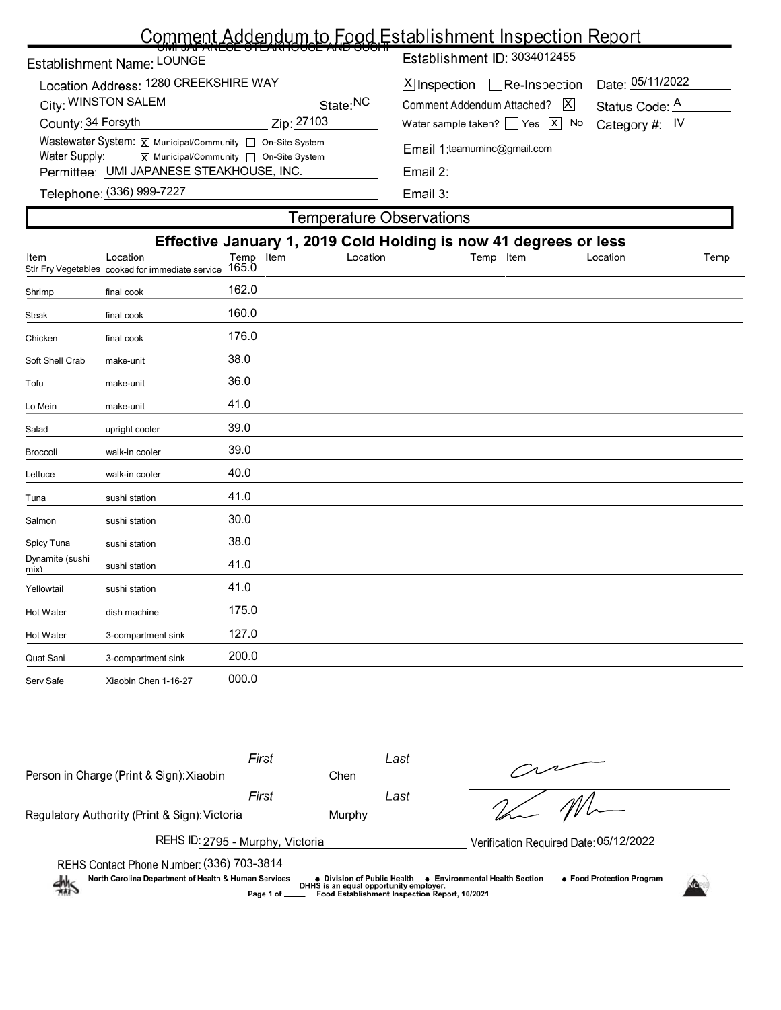## Comment Addendum to Food Establishment Inspection Report

| <u>UMI JAFANLJE 31 LANTUUJE AND JUJI II</u><br>Establishment Name: LOUNGE                                                              | Establishment ID: 3034012455                                                                           |  |  |  |  |  |  |  |
|----------------------------------------------------------------------------------------------------------------------------------------|--------------------------------------------------------------------------------------------------------|--|--|--|--|--|--|--|
| Location Address: 1280 CREEKSHIRE WAY<br>City: WINSTON SALEM<br>State: <sup>NC</sup>                                                   | Date: 05/11/2022<br>$[X]$ Inspection Re-Inspection<br>Comment Addendum Attached?   X<br>Status Code: A |  |  |  |  |  |  |  |
| County: 34 Forsyth<br>Zip: 27103                                                                                                       | Water sample taken? $\Box$ Yes $\Box$ No<br>Category #:  IV                                            |  |  |  |  |  |  |  |
| Wastewater System: X Municipal/Community   On-Site System<br>Water Supply:<br>$\overline{x}$ Municipal/Community $\Box$ On-Site System | Email 1: teamuminc@gmail.com                                                                           |  |  |  |  |  |  |  |
| Permittee: UMI JAPANESE STEAKHOUSE, INC.                                                                                               | Email $2:$                                                                                             |  |  |  |  |  |  |  |
| Telephone: (336) 999-7227                                                                                                              | Email $3:$                                                                                             |  |  |  |  |  |  |  |
| Temperature Observations                                                                                                               |                                                                                                        |  |  |  |  |  |  |  |

| Effective January 1, 2019 Cold Holding is now 41 degrees or less<br>Location<br>Stir Fry Vegetables cooked for immediate service<br>final cook<br>final cook<br>final cook<br>make-unit<br>make-unit | Temp Item<br>165.0<br>162.0<br>160.0<br>176.0<br>38.0<br>36.0 | Location | Temp Item | Location | Temp |
|------------------------------------------------------------------------------------------------------------------------------------------------------------------------------------------------------|---------------------------------------------------------------|----------|-----------|----------|------|
|                                                                                                                                                                                                      |                                                               |          |           |          |      |
|                                                                                                                                                                                                      |                                                               |          |           |          |      |
|                                                                                                                                                                                                      |                                                               |          |           |          |      |
|                                                                                                                                                                                                      |                                                               |          |           |          |      |
|                                                                                                                                                                                                      |                                                               |          |           |          |      |
|                                                                                                                                                                                                      |                                                               |          |           |          |      |
|                                                                                                                                                                                                      |                                                               |          |           |          |      |
| make-unit                                                                                                                                                                                            | 41.0                                                          |          |           |          |      |
| upright cooler                                                                                                                                                                                       | 39.0                                                          |          |           |          |      |
| walk-in cooler                                                                                                                                                                                       | 39.0                                                          |          |           |          |      |
| walk-in cooler                                                                                                                                                                                       | 40.0                                                          |          |           |          |      |
| sushi station                                                                                                                                                                                        | 41.0                                                          |          |           |          |      |
| sushi station                                                                                                                                                                                        | 30.0                                                          |          |           |          |      |
| sushi station                                                                                                                                                                                        | 38.0                                                          |          |           |          |      |
| sushi station                                                                                                                                                                                        | 41.0                                                          |          |           |          |      |
| sushi station                                                                                                                                                                                        | 41.0                                                          |          |           |          |      |
| dish machine                                                                                                                                                                                         | 175.0                                                         |          |           |          |      |
| 3-compartment sink                                                                                                                                                                                   | 127.0                                                         |          |           |          |      |
| 3-compartment sink                                                                                                                                                                                   | 200.0                                                         |          |           |          |      |
| Xiaobin Chen 1-16-27                                                                                                                                                                                 | 000.0                                                         |          |           |          |      |
|                                                                                                                                                                                                      |                                                               |          |           |          |      |

| First<br>Person in Charge (Print & Sign): Xiaobin                                                                  | Chen                                                                                  | Last                                          |                                                             |  |
|--------------------------------------------------------------------------------------------------------------------|---------------------------------------------------------------------------------------|-----------------------------------------------|-------------------------------------------------------------|--|
| First                                                                                                              |                                                                                       | Last                                          |                                                             |  |
| Regulatory Authority (Print & Sign): Victoria                                                                      | Murphy                                                                                |                                               |                                                             |  |
| REHS ID: 2795 - Murphy, Victoria                                                                                   |                                                                                       |                                               | Verification Required Date: 05/12/2022                      |  |
| REHS Contact Phone Number: (336) 703-3814<br>North Carolina Department of Health & Human Services<br>$\frac{1}{2}$ | ● Division of Public Health<br>DHHS is an equal opportunity employer.<br>Page 1 of __ | Food Establishment Inspection Report, 10/2021 | • Food Protection Program<br>● Environmental Health Section |  |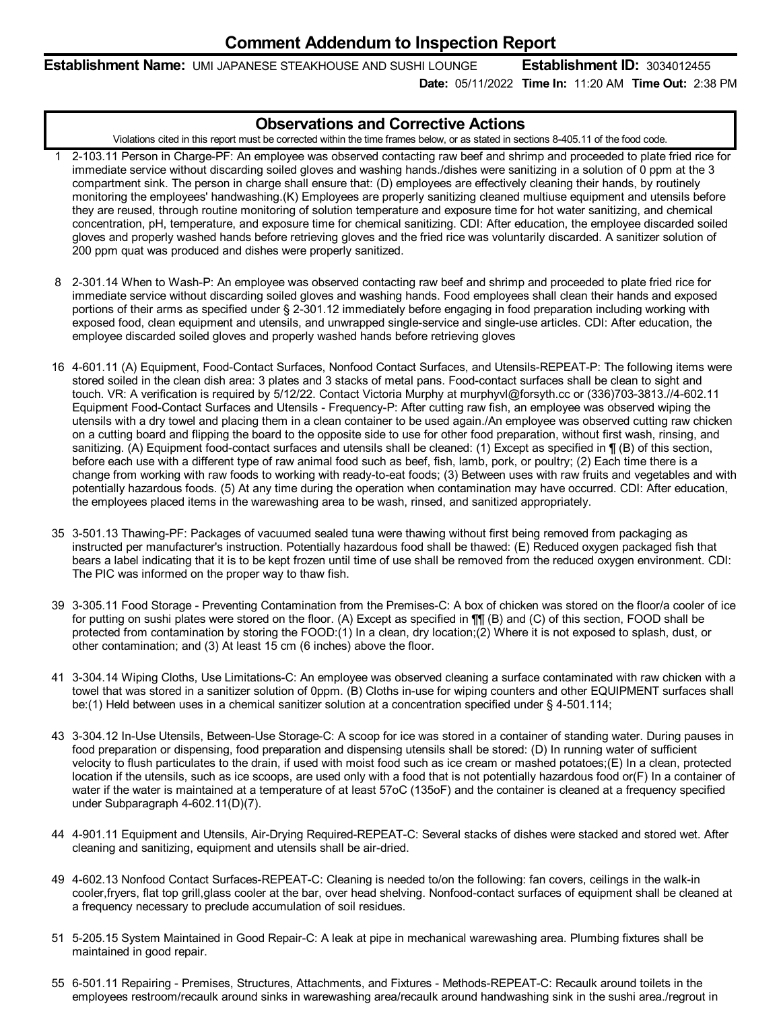**Establishment Name:** UMI JAPANESE STEAKHOUSE AND SUSHI LOUNGE **Establishment ID:** 3034012455

**Date:** 05/11/2022 **Time In:** 11:20 AM **Time Out:** 2:38 PM

## **Observations and Corrective Actions**

Violations cited in this report must be corrected within the time frames below, or as stated in sections 8-405.11 of the food code.

- 1 2-103.11 Person in Charge-PF: An employee was observed contacting raw beef and shrimp and proceeded to plate fried rice for immediate service without discarding soiled gloves and washing hands./dishes were sanitizing in a solution of 0 ppm at the 3 compartment sink. The person in charge shall ensure that: (D) employees are effectively cleaning their hands, by routinely monitoring the employees' handwashing.(K) Employees are properly sanitizing cleaned multiuse equipment and utensils before they are reused, through routine monitoring of solution temperature and exposure time for hot water sanitizing, and chemical concentration, pH, temperature, and exposure time for chemical sanitizing. CDI: After education, the employee discarded soiled gloves and properly washed hands before retrieving gloves and the fried rice was voluntarily discarded. A sanitizer solution of 200 ppm quat was produced and dishes were properly sanitized.
- 8 2-301.14 When to Wash-P: An employee was observed contacting raw beef and shrimp and proceeded to plate fried rice for immediate service without discarding soiled gloves and washing hands. Food employees shall clean their hands and exposed portions of their arms as specified under § 2-301.12 immediately before engaging in food preparation including working with exposed food, clean equipment and utensils, and unwrapped single-service and single-use articles. CDI: After education, the employee discarded soiled gloves and properly washed hands before retrieving gloves
- 16 4-601.11 (A) Equipment, Food-Contact Surfaces, Nonfood Contact Surfaces, and Utensils-REPEAT-P: The following items were stored soiled in the clean dish area: 3 plates and 3 stacks of metal pans. Food-contact surfaces shall be clean to sight and touch. VR: A verification is required by 5/12/22. Contact Victoria Murphy at murphyvl@forsyth.cc or (336)703-3813.//4-602.11 Equipment Food-Contact Surfaces and Utensils - Frequency-P: After cutting raw fish, an employee was observed wiping the utensils with a dry towel and placing them in a clean container to be used again./An employee was observed cutting raw chicken on a cutting board and flipping the board to the opposite side to use for other food preparation, without first wash, rinsing, and sanitizing. (A) Equipment food-contact surfaces and utensils shall be cleaned: (1) Except as specified in  $\P$  (B) of this section, before each use with a different type of raw animal food such as beef, fish, lamb, pork, or poultry; (2) Each time there is a change from working with raw foods to working with ready-to-eat foods; (3) Between uses with raw fruits and vegetables and with potentially hazardous foods. (5) At any time during the operation when contamination may have occurred. CDI: After education, the employees placed items in the warewashing area to be wash, rinsed, and sanitized appropriately.
- 35 3-501.13 Thawing-PF: Packages of vacuumed sealed tuna were thawing without first being removed from packaging as instructed per manufacturer's instruction. Potentially hazardous food shall be thawed: (E) Reduced oxygen packaged fish that bears a label indicating that it is to be kept frozen until time of use shall be removed from the reduced oxygen environment. CDI: The PIC was informed on the proper way to thaw fish.
- 39 3-305.11 Food Storage Preventing Contamination from the Premises-C: A box of chicken was stored on the floor/a cooler of ice for putting on sushi plates were stored on the floor. (A) Except as specified in ¶¶ (B) and (C) of this section, FOOD shall be protected from contamination by storing the FOOD:(1) In a clean, dry location;(2) Where it is not exposed to splash, dust, or other contamination; and (3) At least 15 cm (6 inches) above the floor.
- 41 3-304.14 Wiping Cloths, Use Limitations-C: An employee was observed cleaning a surface contaminated with raw chicken with a towel that was stored in a sanitizer solution of 0ppm. (B) Cloths in-use for wiping counters and other EQUIPMENT surfaces shall be:(1) Held between uses in a chemical sanitizer solution at a concentration specified under § 4-501.114;
- 43 3-304.12 In-Use Utensils, Between-Use Storage-C: A scoop for ice was stored in a container of standing water. During pauses in food preparation or dispensing, food preparation and dispensing utensils shall be stored: (D) In running water of sufficient velocity to flush particulates to the drain, if used with moist food such as ice cream or mashed potatoes;(E) In a clean, protected location if the utensils, such as ice scoops, are used only with a food that is not potentially hazardous food or(F) In a container of water if the water is maintained at a temperature of at least 57oC (135oF) and the container is cleaned at a frequency specified under Subparagraph 4-602.11(D)(7).
- 44 4-901.11 Equipment and Utensils, Air-Drying Required-REPEAT-C: Several stacks of dishes were stacked and stored wet. After cleaning and sanitizing, equipment and utensils shall be air-dried.
- 49 4-602.13 Nonfood Contact Surfaces-REPEAT-C: Cleaning is needed to/on the following: fan covers, ceilings in the walk-in cooler,fryers, flat top grill,glass cooler at the bar, over head shelving. Nonfood-contact surfaces of equipment shall be cleaned at a frequency necessary to preclude accumulation of soil residues.
- 51 5-205.15 System Maintained in Good Repair-C: A leak at pipe in mechanical warewashing area. Plumbing fixtures shall be maintained in good repair.
- 55 6-501.11 Repairing Premises, Structures, Attachments, and Fixtures Methods-REPEAT-C: Recaulk around toilets in the employees restroom/recaulk around sinks in warewashing area/recaulk around handwashing sink in the sushi area./regrout in